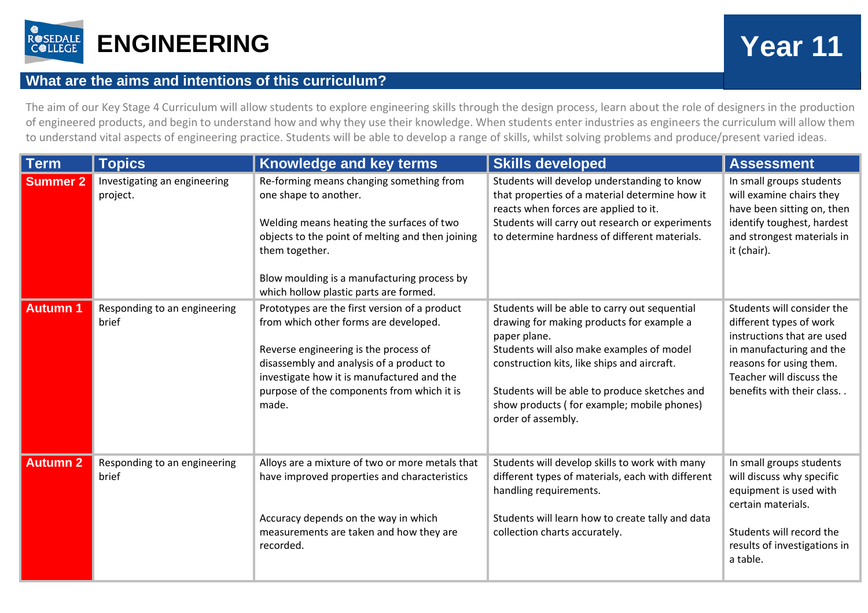

## **What are the aims and intentions of this curriculum?**

The aim of our Key Stage 4 Curriculum will allow students to explore engineering skills through the design process, learn about the role of designers in the production of engineered products, and begin to understand how and why they use their knowledge. When students enter industries as engineers the curriculum will allow them to understand vital aspects of engineering practice. Students will be able to develop a range of skills, whilst solving problems and produce/present varied ideas.

| <b>Term</b>     | <b>Topics</b>                            | <b>Knowledge and key terms</b>                                                                                                                                                                                                                                                   | <b>Skills developed</b>                                                                                                                                                                                                                                                                                                     | <b>Assessment</b>                                                                                                                                                                                   |
|-----------------|------------------------------------------|----------------------------------------------------------------------------------------------------------------------------------------------------------------------------------------------------------------------------------------------------------------------------------|-----------------------------------------------------------------------------------------------------------------------------------------------------------------------------------------------------------------------------------------------------------------------------------------------------------------------------|-----------------------------------------------------------------------------------------------------------------------------------------------------------------------------------------------------|
| <b>Summer 2</b> | Investigating an engineering<br>project. | Re-forming means changing something from<br>one shape to another.<br>Welding means heating the surfaces of two<br>objects to the point of melting and then joining<br>them together.<br>Blow moulding is a manufacturing process by<br>which hollow plastic parts are formed.    | Students will develop understanding to know<br>that properties of a material determine how it<br>reacts when forces are applied to it.<br>Students will carry out research or experiments<br>to determine hardness of different materials.                                                                                  | In small groups students<br>will examine chairs they<br>have been sitting on, then<br>identify toughest, hardest<br>and strongest materials in<br>it (chair).                                       |
| <b>Autumn 1</b> | Responding to an engineering<br>brief    | Prototypes are the first version of a product<br>from which other forms are developed.<br>Reverse engineering is the process of<br>disassembly and analysis of a product to<br>investigate how it is manufactured and the<br>purpose of the components from which it is<br>made. | Students will be able to carry out sequential<br>drawing for making products for example a<br>paper plane.<br>Students will also make examples of model<br>construction kits, like ships and aircraft.<br>Students will be able to produce sketches and<br>show products (for example; mobile phones)<br>order of assembly. | Students will consider the<br>different types of work<br>instructions that are used<br>in manufacturing and the<br>reasons for using them.<br>Teacher will discuss the<br>benefits with their class |
| <b>Autumn 2</b> | Responding to an engineering<br>brief    | Alloys are a mixture of two or more metals that<br>have improved properties and characteristics<br>Accuracy depends on the way in which<br>measurements are taken and how they are<br>recorded.                                                                                  | Students will develop skills to work with many<br>different types of materials, each with different<br>handling requirements.<br>Students will learn how to create tally and data<br>collection charts accurately.                                                                                                          | In small groups students<br>will discuss why specific<br>equipment is used with<br>certain materials.<br>Students will record the<br>results of investigations in<br>a table.                       |